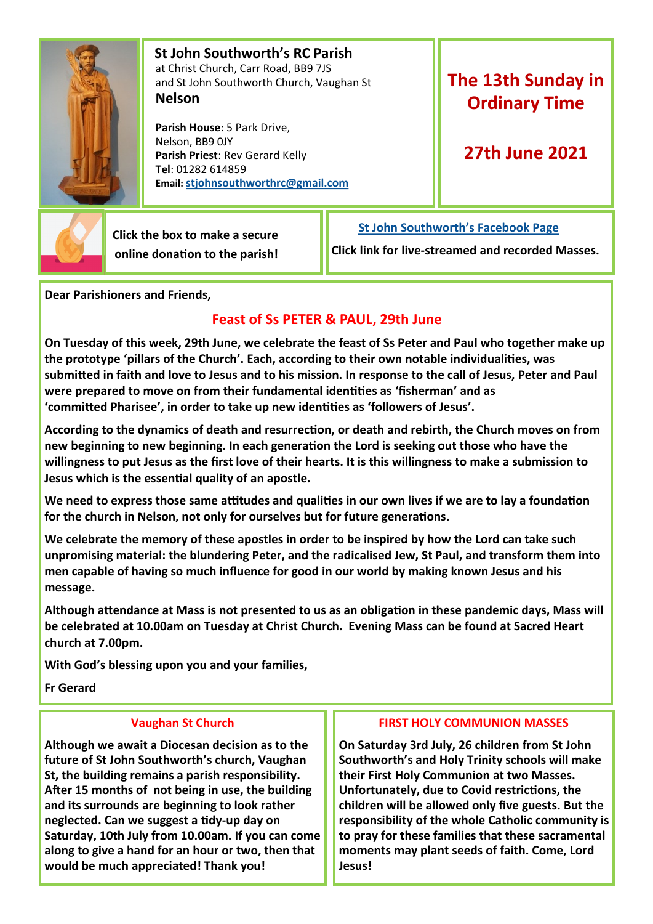

 **St John Southworth's RC Parish** at Christ Church, Carr Road, BB9 7JS and St John Southworth Church, Vaughan St **Nelson**

 **Parish House**: 5 Park Drive, Nelson, BB9 0JY **Parish Priest**: Rev Gerard Kelly **Tel**: 01282 614859 **Email: [stjohnsouthworthrc@gmail.com](mailto:stjohnsouthworth@gmail.com)**

# **The 13th Sunday in Ordinary Time**

## **27th June 2021**



 **Click the box to make a secure online donation to the parish!** **[St John Southworth's Facebook Page](https://www.facebook.com/Parish-of-St-John-Southworth-in-Nelson-105718084323986)**

**Click link for live-streamed and recorded Masses.**

**Dear Parishioners and Friends,**

## **Feast of Ss PETER & PAUL, 29th June**

**On Tuesday of this week, 29th June, we celebrate the feast of Ss Peter and Paul who together make up the prototype 'pillars of the Church'. Each, according to their own notable individualities, was submitted in faith and love to Jesus and to his mission. In response to the call of Jesus, Peter and Paul were prepared to move on from their fundamental identities as 'fisherman' and as 'committed Pharisee', in order to take up new identities as 'followers of Jesus'.**

**According to the dynamics of death and resurrection, or death and rebirth, the Church moves on from new beginning to new beginning. In each generation the Lord is seeking out those who have the willingness to put Jesus as the first love of their hearts. It is this willingness to make a submission to Jesus which is the essential quality of an apostle.**

**We need to express those same attitudes and qualities in our own lives if we are to lay a foundation for the church in Nelson, not only for ourselves but for future generations.** 

**We celebrate the memory of these apostles in order to be inspired by how the Lord can take such unpromising material: the blundering Peter, and the radicalised Jew, St Paul, and transform them into men capable of having so much influence for good in our world by making known Jesus and his message.**

**Although attendance at Mass is not presented to us as an obligation in these pandemic days, Mass will be celebrated at 10.00am on Tuesday at Christ Church. Evening Mass can be found at Sacred Heart church at 7.00pm.**

**With God's blessing upon you and your families,**

**Fr Gerard**

### **Vaughan St Church**

**Although we await a Diocesan decision as to the future of St John Southworth's church, Vaughan St, the building remains a parish responsibility. After 15 months of not being in use, the building and its surrounds are beginning to look rather neglected. Can we suggest a tidy-up day on Saturday, 10th July from 10.00am. If you can come along to give a hand for an hour or two, then that would be much appreciated! Thank you!**

### **FIRST HOLY COMMUNION MASSES**

**On Saturday 3rd July, 26 children from St John Southworth's and Holy Trinity schools will make their First Holy Communion at two Masses. Unfortunately, due to Covid restrictions, the children will be allowed only five guests. But the responsibility of the whole Catholic community is to pray for these families that these sacramental moments may plant seeds of faith. Come, Lord Jesus!**